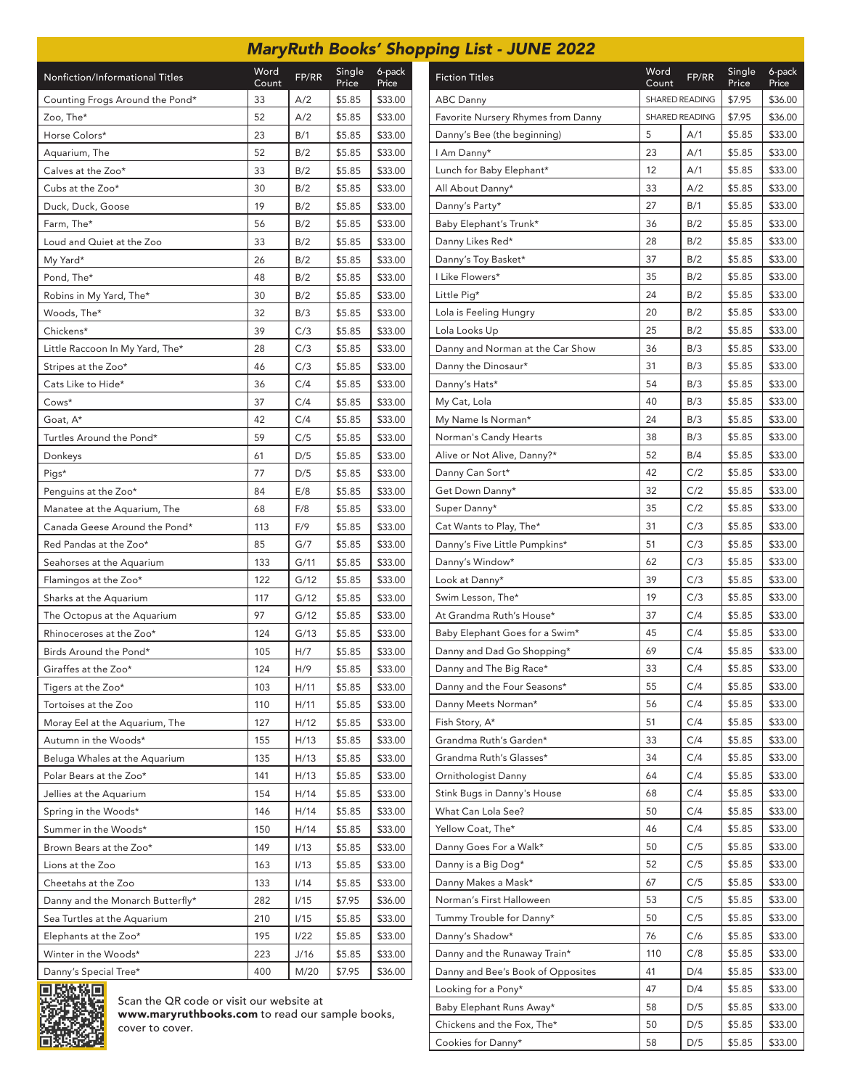|                                  |               |       |                 |                 | <b>MaryRuth Books' Shopping List - JUNE 2022</b> |  |  |
|----------------------------------|---------------|-------|-----------------|-----------------|--------------------------------------------------|--|--|
| Nonfiction/Informational Titles  | Word<br>Count | FP/RR | Single<br>Price | 6-pack<br>Price | <b>Fiction Titles</b>                            |  |  |
| Counting Frogs Around the Pond*  | 33            | A/2   | \$5.85          | \$33.00         | <b>ABC Danny</b>                                 |  |  |
| Zoo, The*                        | 52            | A/2   | \$5.85          | \$33.00         | Favorite Nursery Rhymes from Dann                |  |  |
| Horse Colors*                    | 23            | B/1   | \$5.85          | \$33.00         | Danny's Bee (the beginning)                      |  |  |
| Aquarium, The                    | 52            | B/2   | \$5.85          | \$33.00         | I Am Danny*                                      |  |  |
| Calves at the Zoo*               | 33            | B/2   | \$5.85          | \$33.00         | Lunch for Baby Elephant*                         |  |  |
| Cubs at the Zoo*                 | 30            | B/2   | \$5.85          | \$33.00         | All About Danny*                                 |  |  |
| Duck, Duck, Goose                | 19            | B/2   | \$5.85          | \$33.00         | Danny's Party*                                   |  |  |
| Farm, The*                       | 56            | B/2   | \$5.85          | \$33.00         | Baby Elephant's Trunk*                           |  |  |
| Loud and Quiet at the Zoo        | 33            | B/2   | \$5.85          | \$33.00         | Danny Likes Red*                                 |  |  |
| My Yard*                         | 26            | B/2   | \$5.85          | \$33.00         | Danny's Toy Basket*                              |  |  |
| Pond, The*                       | 48            | B/2   | \$5.85          | \$33.00         | I Like Flowers*                                  |  |  |
| Robins in My Yard, The*          | 30            | B/2   | \$5.85          | \$33.00         | Little Pig*                                      |  |  |
| Woods, The*                      | 32            | B/3   | \$5.85          | \$33.00         | Lola is Feeling Hungry                           |  |  |
| Chickens*                        | 39            | C/3   | \$5.85          | \$33.00         | Lola Looks Up                                    |  |  |
| Little Raccoon In My Yard, The*  | 28            | C/3   | \$5.85          | \$33.00         | Danny and Norman at the Car Show                 |  |  |
| Stripes at the Zoo*              | 46            | C/3   | \$5.85          | \$33.00         | Danny the Dinosaur*                              |  |  |
| Cats Like to Hide*               | 36            | C/4   | \$5.85          | \$33.00         | Danny's Hats*                                    |  |  |
| Cows*                            | 37            | C/4   | \$5.85          | \$33.00         | My Cat, Lola                                     |  |  |
| Goat, A*                         | 42            | C/4   | \$5.85          | \$33.00         | My Name Is Norman*                               |  |  |
| Turtles Around the Pond*         | 59            | C/5   | \$5.85          | \$33.00         | Norman's Candy Hearts                            |  |  |
| Donkeys                          | 61            | D/5   | \$5.85          | \$33.00         | Alive or Not Alive, Danny?*                      |  |  |
| Pigs*                            | 77            | D/5   | \$5.85          | \$33.00         | Danny Can Sort*                                  |  |  |
| Penguins at the Zoo*             | 84            | E/8   | \$5.85          | \$33.00         | Get Down Danny*                                  |  |  |
| Manatee at the Aquarium, The     | 68            | F/8   | \$5.85          | \$33.00         | Super Danny*                                     |  |  |
| Canada Geese Around the Pond*    | 113           | F/9   | \$5.85          | \$33.00         | Cat Wants to Play, The*                          |  |  |
| Red Pandas at the Zoo*           | 85            | G/7   | \$5.85          | \$33.00         | Danny's Five Little Pumpkins*                    |  |  |
| Seahorses at the Aquarium        | 133           | G/11  | \$5.85          | \$33.00         | Danny's Window*                                  |  |  |
| Flamingos at the Zoo*            | 122           | G/12  | \$5.85          | \$33.00         | Look at Danny*                                   |  |  |
| Sharks at the Aquarium           | 117           | G/12  | \$5.85          | \$33.00         | Swim Lesson, The*                                |  |  |
| The Octopus at the Aquarium      | 97            | G/12  | \$5.85          | \$33.00         | At Grandma Ruth's House*                         |  |  |
| Rhinoceroses at the Zoo*         | 124           | G/13  | \$5.85          | \$33.00         | Baby Elephant Goes for a Swim*                   |  |  |
| Birds Around the Pond*           | 105           | H/7   | \$5.85          | \$33.00         | Danny and Dad Go Shopping*                       |  |  |
| Giraffes at the Zoo*             | 124           | H/9   | \$5.85          | \$33.00         | Danny and The Big Race*                          |  |  |
| Tigers at the Zoo*               | 103           | H/11  | \$5.85          | \$33.00         | Danny and the Four Seasons*                      |  |  |
| Tortoises at the Zoo             | 110           | H/11  | \$5.85          | \$33.00         | Danny Meets Norman*                              |  |  |
| Moray Eel at the Aquarium, The   | 127           | H/12  | \$5.85          | \$33.00         | Fish Story, A*                                   |  |  |
| Autumn in the Woods*             | 155           | H/13  | \$5.85          | \$33.00         | Grandma Ruth's Garden*                           |  |  |
| Beluga Whales at the Aquarium    | 135           | H/13  | \$5.85          | \$33.00         | Grandma Ruth's Glasses*                          |  |  |
| Polar Bears at the Zoo*          | 141           | H/13  | \$5.85          | \$33.00         | Ornithologist Danny                              |  |  |
| Jellies at the Aquarium          | 154           | H/14  | \$5.85          | \$33.00         | Stink Bugs in Danny's House                      |  |  |
| Spring in the Woods*             | 146           | H/14  | \$5.85          | \$33.00         | What Can Lola See?                               |  |  |
| Summer in the Woods*             | 150           | H/14  | \$5.85          | \$33.00         | Yellow Coat, The*                                |  |  |
| Brown Bears at the Zoo*          | 149           | 1/13  | \$5.85          | \$33.00         | Danny Goes For a Walk*                           |  |  |
| Lions at the Zoo                 | 163           | 1/13  | \$5.85          | \$33.00         | Danny is a Big Dog*                              |  |  |
| Cheetahs at the Zoo              | 133           | 1/14  | \$5.85          | \$33.00         | Danny Makes a Mask*                              |  |  |
| Danny and the Monarch Butterfly* | 282           | 1/15  | \$7.95          | \$36.00         | Norman's First Halloween                         |  |  |
| Sea Turtles at the Aquarium      | 210           | 1/15  | \$5.85          | \$33.00         | Tummy Trouble for Danny*                         |  |  |
| Elephants at the Zoo*            | 195           | 1/22  | \$5.85          | \$33.00         | Danny's Shadow*                                  |  |  |
| Winter in the Woods*             | 223           | J/16  | \$5.85          | \$33.00         | Danny and the Runaway Train*                     |  |  |
|                                  |               |       |                 |                 |                                                  |  |  |





Danny's Special Tree\* 100 400 M/20 \$7.95 \$36.00

www.maryruthbooks.com to read our sample books, cover to cover.